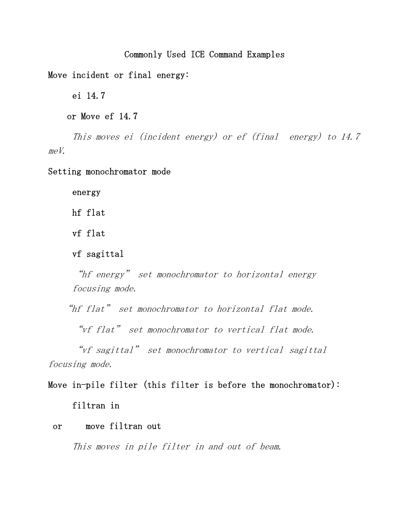# Commonly Used ICE Command Examples

Move incident or final energy:

ei 14.7

or Move ef 14.7

This moves ei (incident energy) or ef (final energy) to 14.7  $meV$ .

Setting monochromator mode

energy

hf flat

vf flat

vf sagittal

"hf energy" set monochromator to horizontal energy focusing mode.

"hf flat" set monochromator to horizontal flat mode.

"vf flat" set monochromator to vertical flat mode.

"vf sagittal" set monochromator to vertical sagittal focusing mode.

# Move in-pile filter (this filter is before the monochromator): filtran in

# or move filtran out

This moves in pile filter in and out of beam.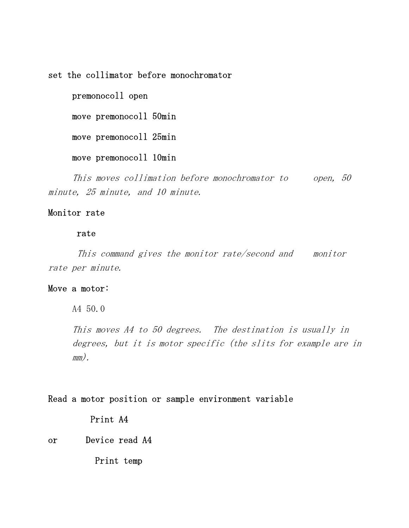set the collimator before monochromator

premonocoll open

move premonocoll 50min

move premonocoll 25min

move premonocoll 10min

This moves collimation before monochromator to open, 50 minute, 25 minute, and 10 minute.

# Monitor rate

#### rate

This command gives the monitor rate/second and monitor rate per minute.

# Move a motor:

A4 50.0

This moves A4 to 50 degrees. The destination is usually in degrees, but it is motor specific (the slits for example are in mm).

# Read a motor position or sample environment variable

Print A4

or Device read A4

Print temp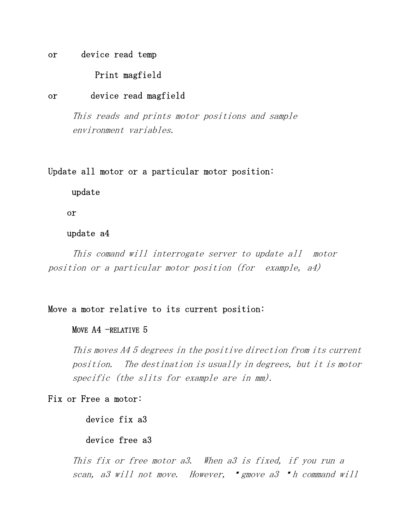or device read temp

# Print magfield

## or device read magfield

This reads and prints motor positions and sample environment variables.

# Update all motor or a particular motor position:

update

or

## update a4

This comand will interrogate server to update all motor position or a particular motor position (for example, a4)

# Move a motor relative to its current position:

#### MOVE A4 -RELATIVE 5

This moves A4 5 degrees in the positive direction from its current position. The destination is usually in degrees, but it is motor specific (the slits for example are in mm).

# Fix or Free a motor:

device fix a3

# device free a3

This fix or free motor a3. When a3 is fixed, if you run a scan, a3 will not move. However, "gmove a3 "h command will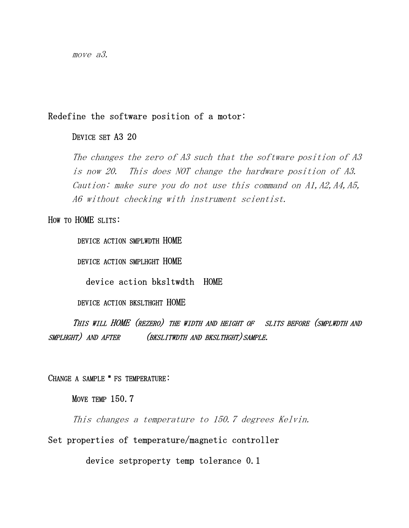move a3.

# Redefine the software position of a motor:

# DEVICE SET A3 20

The changes the zero of A3 such that the software position of A3 is now 20. This does NOT change the hardware position of A3. Caution: make sure you do not use this command on  $AI$ ,  $A2$ ,  $A4$ ,  $A5$ , A6 without checking with instrument scientist.

#### HOW TO HOME SLITS:

DEVICE ACTION SMPLWDTH HOME

DEVICE ACTION SMPLHGHT HOME

device action bksltwdth HOME

DEVICE ACTION BKSLTHGHT HOME

 THIS WILL HOME (REZERO) THE WIDTH AND HEIGHT OF SLITS BEFORE (SMPLWDTH AND SMPLHGHT) AND AFTER (BKSLITWDTH AND BKSLTHGHT) SAMPLE.

# CHANGE A SAMPLE " FS TEMPERATURE:

MOVE TEMP 150.7

This changes a temperature to 150.7 degrees Kelvin.

Set properties of temperature/magnetic controller

device setproperty temp tolerance 0.1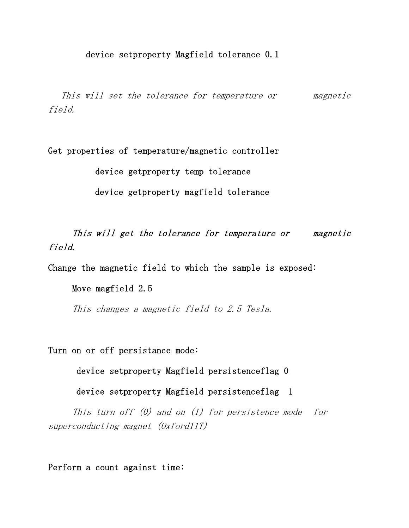This will set the tolerance for temperature or magnetic field.

Get properties of temperature/magnetic controller

device getproperty temp tolerance

device getproperty magfield tolerance

This will get the tolerance for temperature or magnetic field.

Change the magnetic field to which the sample is exposed:

Move magfield 2.5

This changes a magnetic field to 2.5 Tesla.

Turn on or off persistance mode:

device setproperty Magfield persistenceflag 0

device setproperty Magfield persistenceflag 1

This turn off  $(0)$  and on  $(1)$  for persistence mode for superconducting magnet (Oxford11T)

Perform a count against time: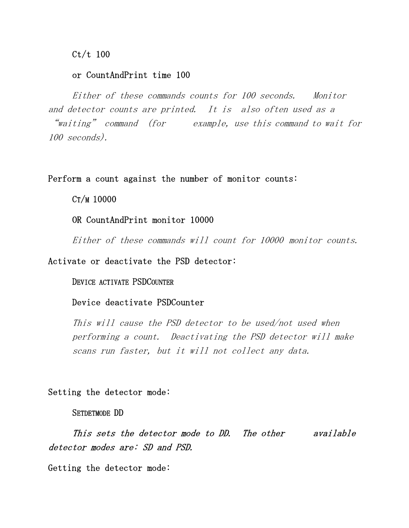Ct/t 100

# or CountAndPrint time 100

 Either of these commands counts for 100 seconds. Monitor and detector counts are printed. It is also often used as a "waiting" command (for example, use this command to wait for 100 seconds).

## Perform a count against the number of monitor counts:

CT/M 10000

OR CountAndPrint monitor 10000

Either of these commands will count for 10000 monitor counts.

# Activate or deactivate the PSD detector:

#### DEVICE ACTIVATE PSDCOUNTER

# Device deactivate PSDCounter

This will cause the PSD detector to be used/not used when performing a count. Deactivating the PSD detector will make scans run faster, but it will not collect any data.

#### Setting the detector mode:

#### SETDETMODE DD

 This sets the detector mode to DD. The other available detector modes are: SD and PSD.

Getting the detector mode: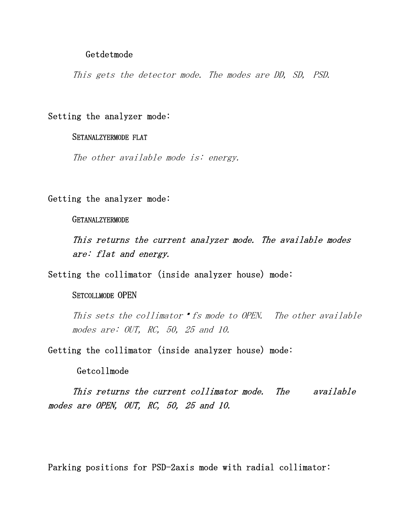#### Getdetmode

This gets the detector mode. The modes are DD, SD, PSD.

# Setting the analyzer mode:

#### SETANALZYERMODE FLAT

The other available mode is: energy.

# Getting the analyzer mode:

GETANALZYERMODE

 This returns the current analyzer mode. The available modes are: flat and energy.

Setting the collimator (inside analyzer house) mode:

## SETCOLLMODE OPEN

This sets the collimator  $\mathbf{f}$  is mode to OPEN. The other available modes are: OUT, RC, 50, 25 and 10.

Getting the collimator (inside analyzer house) mode:

# Getcollmode

 This returns the current collimator mode. The available modes are OPEN, OUT, RC, 50, 25 and 10.

Parking positions for PSD-2axis mode with radial collimator: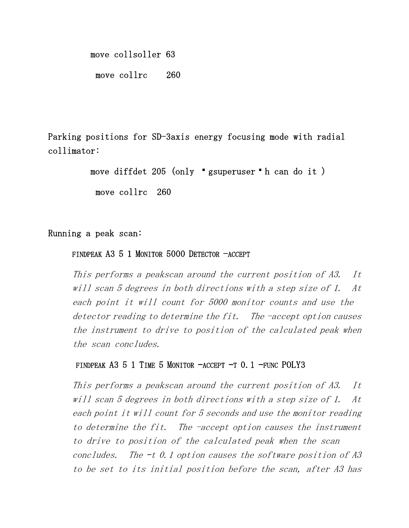move collsoller 63

move collrc 260

Parking positions for SD-3axis energy focusing mode with radial collimator:

move diffdet 205 (only  $\bullet$  gsuperuser  $\bullet$  h can do it )

move collrc 260

# Running a peak scan:

# FINDPEAK A3 5 1 MONITOR 5000 DETECTOR -ACCEPT

This performs a peakscan around the current position of A3. It will scan 5 degrees in both directions with a step size of 1. At each point it will count for 5000 monitor counts and use the detector reading to determine the fit. The -accept option causes the instrument to drive to position of the calculated peak when the scan concludes.

# FINDPEAK A3 5 1 TIME 5 MONITOR  $-$ ACCEPT  $-$ T 0.1 –FUNC POLY3

This performs a peakscan around the current position of A3. It will scan 5 degrees in both directions with a step size of 1. At each point it will count for 5 seconds and use the monitor reading to determine the fit. The -accept option causes the instrument to drive to position of the calculated peak when the scan concludes. The  $-t$  0.1 option causes the software position of A3 to be set to its initial position before the scan, after A3 has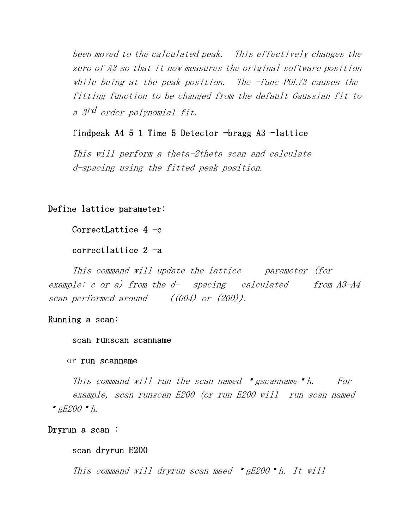been moved to the calculated peak. This effectively changes the zero of A3 so that it now measures the original software position while being at the peak position. The -func POLY3 causes the fitting function to be changed from the default Gaussian fit to a 3rd order polynomial fit.

# findpeak  $A4$  5 1 Time 5 Detector  $-$ bragg  $A3$   $-$ lattice

This will perform a theta-2theta scan and calculate d-spacing using the fitted peak position.

# Define lattice parameter:

CorrectLattice  $4 -c$ 

# correctlattice 2 -a

This command will update the lattice parameter (for example: c or a) from the  $d-$  spacing calculated from  $A3- A4$ scan performed around ((004) or (200)).

## Running a scan:

#### scan runscan scanname

#### or run scanname

This command will run the scan named "gscanname" h. For example, scan runscan E200 (or run E200 will run scan named  $gE200$   $h$ .

```
Dryrun a scan :
```
# scan dryrun E200

This command will dryrun scan maed  $gE200$   $\blacksquare$ h. It will